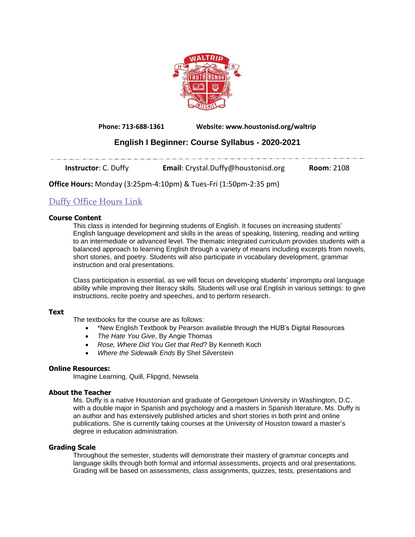

**Phone: 713-688-1361 Website: www.houstonisd.org/waltrip**

# **English I Beginner: Course Syllabus - 2020-2021**

**Instructor**: C. Duffy **Email:** Crystal.Duffy@houstonisd.org **Room**: 2108

**Office Hours:** Monday (3:25pm-4:10pm) & Tues-Fri (1:50pm-2:35 pm)

## Duffy [Office](https://teams.microsoft.com/l/meetup-join/19%3ameeting_ZDczODk1YjQtMWIyYy00N2JlLTliNzQtOWNlYzE1MTkwMWI4%40thread.v2/0?context=%7b%22Tid%22%3a%22f5eb9966-9336-4b33-8895-9982425b13ed%22%2c%22Oid%22%3a%22d2302368-f0eb-49f4-9573-2438f4e1bfd1%22%7d) Hours Link

## **Course Content**

This class is intended for beginning students of English. It focuses on increasing students' English language development and skills in the areas of speaking, listening, reading and writing to an intermediate or advanced level. The thematic integrated curriculum provides students with a balanced approach to learning English through a variety of means including excerpts from novels, short stories, and poetry. Students will also participate in vocabulary development, grammar instruction and oral presentations.

Class participation is essential, as we will focus on developing students' impromptu oral language ability while improving their literacy skills. Students will use oral English in various settings: to give instructions, recite poetry and speeches, and to perform research.

## **Text**

The textbooks for the course are as follows:

- \*New English Textbook by Pearson available through the HUB's Digital Resources
- *The Hate You Give*, By Angie Thomas
- *Rose, Where Did You Get that Red*? By Kenneth Koch
- *Where the Sidewalk Ends* By Shel Silverstein

## **Online Resources:**

Imagine Learning, Quill, Flipgrid, Newsela

## **About the Teacher**

Ms. Duffy is a native Houstonian and graduate of Georgetown University in Washington, D.C. with a double major in Spanish and psychology and a masters in Spanish literature. Ms. Duffy is an author and has extensively published articles and short stories in both print and online publications. She is currently taking courses at the University of Houston toward a master's degree in education administration.

## **Grading Scale**

Throughout the semester, students will demonstrate their mastery of grammar concepts and language skills through both formal and informal assessments, projects and oral presentations. Grading will be based on assessments, class assignments, quizzes, tests, presentations and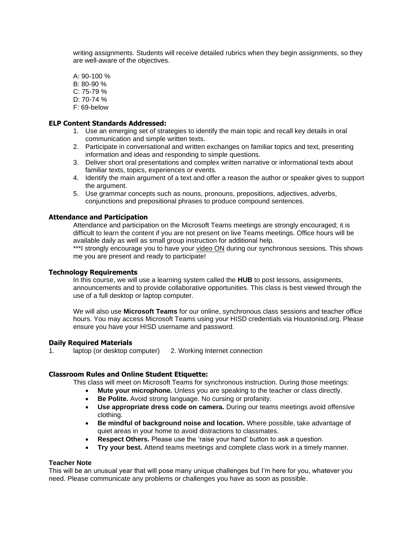writing assignments. Students will receive detailed rubrics when they begin assignments, so they are well-aware of the objectives.

A: 90-100 % B: 80-90 % C: 75-79 % D: 70-74 % F: 69-below

#### **ELP Content Standards Addressed:**

- 1. Use an emerging set of strategies to identify the main topic and recall key details in oral communication and simple written texts.
- 2. Participate in conversational and written exchanges on familiar topics and text, presenting information and ideas and responding to simple questions.
- 3. Deliver short oral presentations and complex written narrative or informational texts about familiar texts, topics, experiences or events.
- 4. Identify the main argument of a text and offer a reason the author or speaker gives to support the argument.
- 5. Use grammar concepts such as nouns, pronouns, prepositions, adjectives, adverbs, conjunctions and prepositional phrases to produce compound sentences.

#### **Attendance and Participation**

Attendance and participation on the Microsoft Teams meetings are strongly encouraged; it is difficult to learn the content if you are not present on live Teams meetings. Office hours will be available daily as well as small group instruction for additional help.

\*\*\*I strongly encourage you to have your video ON during our synchronous sessions. This shows me you are present and ready to participate!

#### **Technology Requirements**

In this course, we will use a learning system called the **HUB** to post lessons, assignments, announcements and to provide collaborative opportunities. This class is best viewed through the use of a full desktop or laptop computer.

We will also use **Microsoft Teams** for our online, synchronous class sessions and teacher office hours. You may access Microsoft Teams using your HISD credentials via Houstonisd.org. Please ensure you have your HISD username and password.

#### **Daily Required Materials**

1. laptop (or desktop computer) 2. Working Internet connection

#### **Classroom Rules and Online Student Etiquette:**

This class will meet on Microsoft Teams for synchronous instruction. During those meetings:

- **Mute your microphone.** Unless you are speaking to the teacher or class directly.
- **Be Polite.** Avoid strong language. No cursing or profanity.
- **Use appropriate dress code on camera.** During our teams meetings avoid offensive clothing.
- **Be mindful of background noise and location.** Where possible, take advantage of quiet areas in your home to avoid distractions to classmates.
- **Respect Others.** Please use the 'raise your hand' button to ask a question.
- **Try your best.** Attend teams meetings and complete class work in a timely manner.

## **Teacher Note**

This will be an unusual year that will pose many unique challenges but I'm here for you, whatever you need. Please communicate any problems or challenges you have as soon as possible.